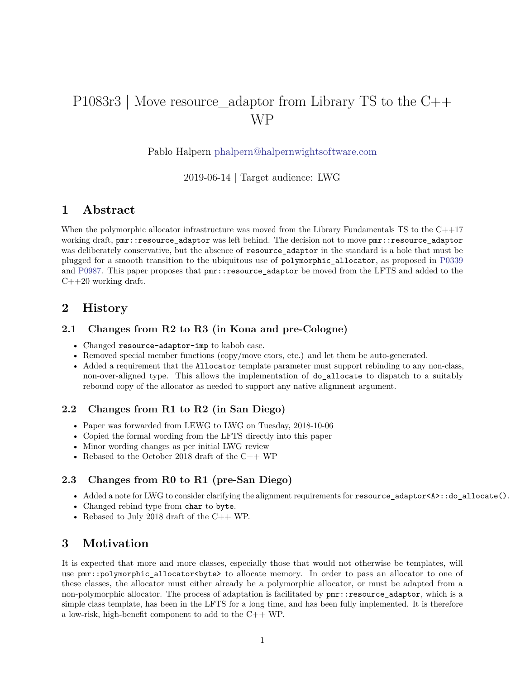# P1083r3 | Move resource\_adaptor from Library TS to the C++ WP

Pablo Halpern [phalpern@halpernwightsoftware.com](mailto:phalpern@halpernwightsoftware.com)

2019-06-14 | Target audience: LWG

### **1 Abstract**

When the polymorphic allocator infrastructure was moved from the Library Fundamentals TS to the C++17 working draft, pmr::resource\_adaptor was left behind. The decision not to move pmr::resource\_adaptor was deliberately conservative, but the absence of resource\_adaptor in the standard is a hole that must be plugged for a smooth transition to the ubiquitous use of polymorphic\_allocator, as proposed in [P0339](http://wg21.link/p0339) and [P0987.](http://wg21.link/p0987) This paper proposes that pmr::resource\_adaptor be moved from the LFTS and added to the C++20 working draft.

### **2 History**

#### **2.1 Changes from R2 to R3 (in Kona and pre-Cologne)**

- Changed **resource-adaptor-imp** to kabob case.
- Removed special member functions (copy/move ctors, etc.) and let them be auto-generated.
- Added a requirement that the Allocator template parameter must support rebinding to any non-class, non-over-aligned type. This allows the implementation of do\_allocate to dispatch to a suitably rebound copy of the allocator as needed to support any native alignment argument.

#### **2.2 Changes from R1 to R2 (in San Diego)**

- Paper was forwarded from LEWG to LWG on Tuesday, 2018-10-06
- Copied the formal wording from the LFTS directly into this paper
- Minor wording changes as per initial LWG review
- Rebased to the October 2018 draft of the  $C++$  WP

### **2.3 Changes from R0 to R1 (pre-San Diego)**

- Added a note for LWG to consider clarifying the alignment requirements for resource\_adaptor<A>::do\_allocate().
- Changed rebind type from char to byte.
- Rebased to July 2018 draft of the C++ WP.

### **3 Motivation**

It is expected that more and more classes, especially those that would not otherwise be templates, will use pmr::polymorphic\_allocator<br/>sbyte> to allocate memory. In order to pass an allocator to one of these classes, the allocator must either already be a polymorphic allocator, or must be adapted from a non-polymorphic allocator. The process of adaptation is facilitated by pmr::resource\_adaptor, which is a simple class template, has been in the LFTS for a long time, and has been fully implemented. It is therefore a low-risk, high-benefit component to add to the C++ WP.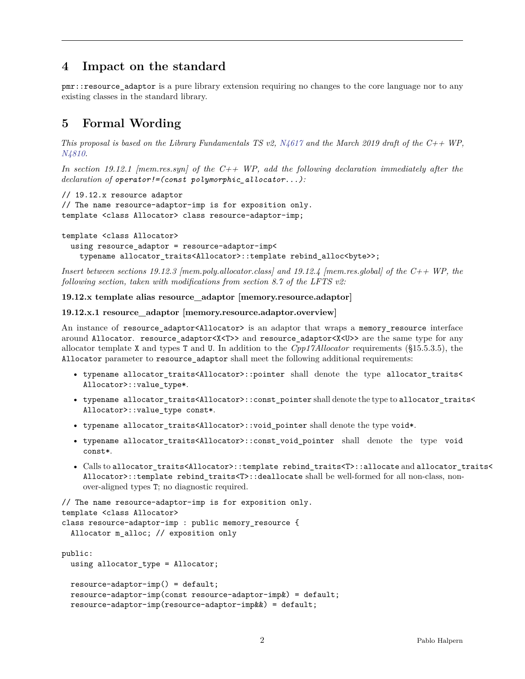## **4 Impact on the standard**

pmr::resource adaptor is a pure library extension requiring no changes to the core language nor to any existing classes in the standard library.

# **5 Formal Wording**

*This proposal is based on the Library Fundamentals TS v2, [N4617](http://www.open-std.org/JTC1/SC22/WG21/docs/papers/2016/n4617.pdf) and the March 2019 draft of the C++ WP, [N4810.](http://www.open-std.org/JTC1/SC22/WG21/docs/papers/2019/n4810.pdf)*

*In section 19.12.1 [mem.res.syn] of the C++ WP, add the following declaration immediately after the declaration of operator!=(const polymorphic\_allocator...):*

```
// 19.12.x resource adaptor
// The name resource-adaptor-imp is for exposition only.
template <class Allocator> class resource-adaptor-imp;
```

```
template <class Allocator>
  using resource_adaptor = resource-adaptor-imp<
   typename allocator_traits<Allocator>::template rebind_alloc<byte>>;
```
*Insert between sections 19.12.3 [mem.poly.allocator.class] and 19.12.4 [mem.res.global] of the C++ WP, the following section, taken with modifications from section 8.7 of the LFTS v2:*

#### **19.12.x template alias resource\_adaptor [memory.resource.adaptor]**

#### **19.12.x.1 resource\_adaptor [memory.resource.adaptor.overview]**

An instance of resource adaptor<Allocator> is an adaptor that wraps a memory resource interface around Allocator. resource\_adaptor<X<T>> and resource\_adaptor<X<U>> are the same type for any allocator template X and types T and U. In addition to the *Cpp17Allocator* requirements (§15.5.3.5), the Allocator parameter to resource\_adaptor shall meet the following additional requirements:

- typename allocator\_traits<Allocator>::pointer shall denote the type allocator\_traits< Allocator>::value\_type\*.
- typename allocator\_traits<Allocator>::const\_pointer shall denote the type to allocator\_traits< Allocator>::value\_type const\*.
- typename allocator\_traits<Allocator>::void\_pointer shall denote the type void\*.
- typename allocator\_traits<Allocator>::const\_void\_pointer shall denote the type void const\*.
- Calls to allocator\_traits<Allocator>::template rebind\_traits<T>::allocate and allocator\_traits< Allocator>::template rebind\_traits<T>::deallocate shall be well-formed for all non-class, nonover-aligned types T; no diagnostic required.

```
// The name resource-adaptor-imp is for exposition only.
template <class Allocator>
class resource-adaptor-imp : public memory_resource {
  Allocator m_alloc; // exposition only
```

```
public:
  using allocator_type = Allocator;
  resource-adaptor-imp() = default;
  resource-adaptor-imp(const resource-adaptor-imp&) = default;
  resource-adaptor-imp(resource-adaptor-imp&&) = default;
```